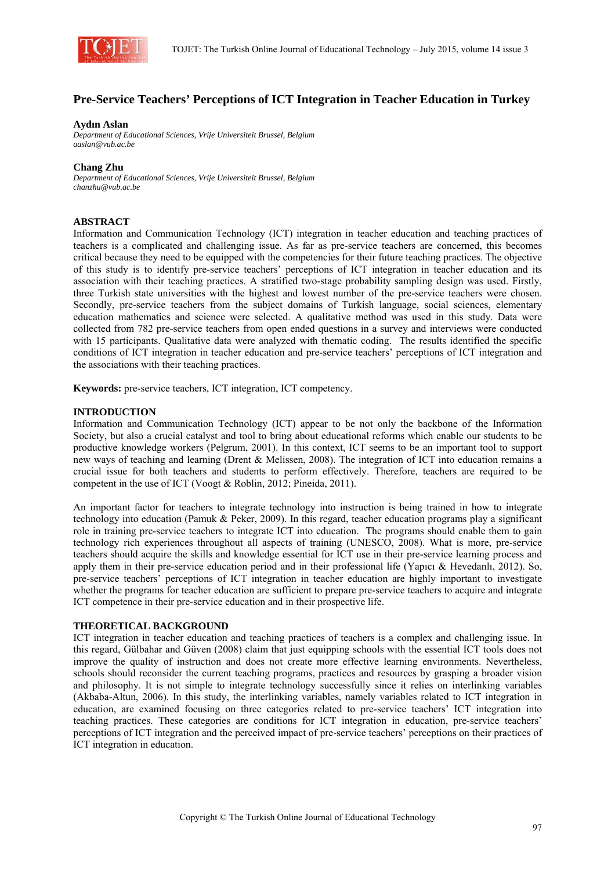

# **Pre-Service Teachers' Perceptions of ICT Integration in Teacher Education in Turkey**

### **Aydın Aslan**

*Department of Educational Sciences, Vrije Universiteit Brussel, Belgium aaslan@vub.ac.be* 

### **Chang Zhu**

*Department of Educational Sciences, Vrije Universiteit Brussel, Belgium chanzhu@vub.ac.be* 

# **ABSTRACT**

Information and Communication Technology (ICT) integration in teacher education and teaching practices of teachers is a complicated and challenging issue. As far as pre-service teachers are concerned, this becomes critical because they need to be equipped with the competencies for their future teaching practices. The objective of this study is to identify pre-service teachers' perceptions of ICT integration in teacher education and its association with their teaching practices. A stratified two-stage probability sampling design was used. Firstly, three Turkish state universities with the highest and lowest number of the pre-service teachers were chosen. Secondly, pre-service teachers from the subject domains of Turkish language, social sciences, elementary education mathematics and science were selected. A qualitative method was used in this study. Data were collected from 782 pre-service teachers from open ended questions in a survey and interviews were conducted with 15 participants. Qualitative data were analyzed with thematic coding. The results identified the specific conditions of ICT integration in teacher education and pre-service teachers' perceptions of ICT integration and the associations with their teaching practices.

**Keywords:** pre-service teachers, ICT integration, ICT competency.

# **INTRODUCTION**

Information and Communication Technology (ICT) appear to be not only the backbone of the Information Society, but also a crucial catalyst and tool to bring about educational reforms which enable our students to be productive knowledge workers (Pelgrum, 2001). In this context, ICT seems to be an important tool to support new ways of teaching and learning (Drent & Melissen, 2008). The integration of ICT into education remains a crucial issue for both teachers and students to perform effectively. Therefore, teachers are required to be competent in the use of ICT (Voogt & Roblin, 2012; Pineida, 2011).

An important factor for teachers to integrate technology into instruction is being trained in how to integrate technology into education (Pamuk & Peker, 2009). In this regard, teacher education programs play a significant role in training pre-service teachers to integrate ICT into education. The programs should enable them to gain technology rich experiences throughout all aspects of training (UNESCO, 2008). What is more, pre-service teachers should acquire the skills and knowledge essential for ICT use in their pre-service learning process and apply them in their pre-service education period and in their professional life (Yapıcı & Hevedanlı, 2012). So, pre-service teachers' perceptions of ICT integration in teacher education are highly important to investigate whether the programs for teacher education are sufficient to prepare pre-service teachers to acquire and integrate ICT competence in their pre-service education and in their prospective life.

#### **THEORETICAL BACKGROUND**

ICT integration in teacher education and teaching practices of teachers is a complex and challenging issue. In this regard, Gülbahar and Güven (2008) claim that just equipping schools with the essential ICT tools does not improve the quality of instruction and does not create more effective learning environments. Nevertheless, schools should reconsider the current teaching programs, practices and resources by grasping a broader vision and philosophy. It is not simple to integrate technology successfully since it relies on interlinking variables (Akbaba-Altun, 2006). In this study, the interlinking variables, namely variables related to ICT integration in education, are examined focusing on three categories related to pre-service teachers' ICT integration into teaching practices. These categories are conditions for ICT integration in education, pre-service teachers' perceptions of ICT integration and the perceived impact of pre-service teachers' perceptions on their practices of ICT integration in education.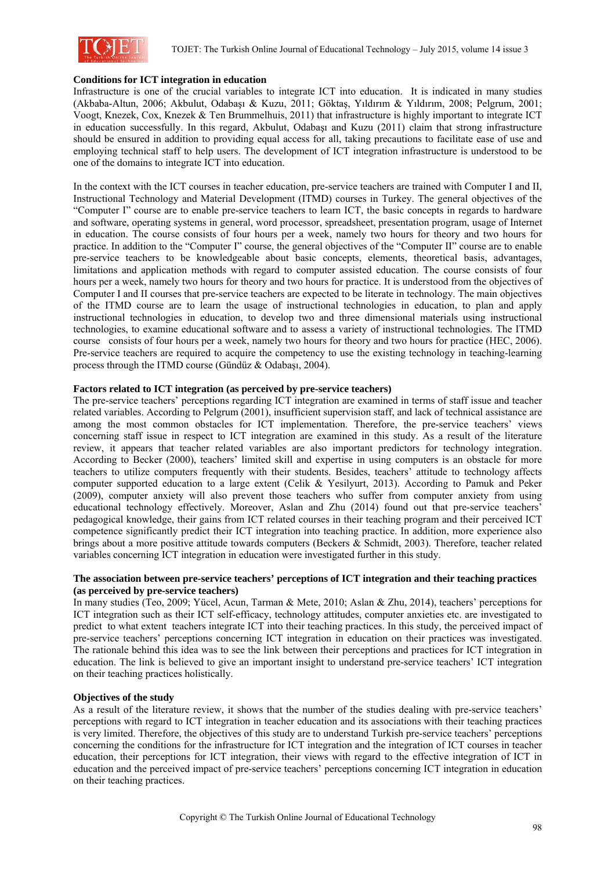

# **Conditions for ICT integration in education**

Infrastructure is one of the crucial variables to integrate ICT into education. It is indicated in many studies (Akbaba-Altun, 2006; Akbulut, Odabaşı & Kuzu, 2011; Göktaş, Yıldırım & Yıldırım, 2008; Pelgrum, 2001; Voogt, Knezek, Cox, Knezek & Ten Brummelhuis, 2011) that infrastructure is highly important to integrate ICT in education successfully. In this regard, Akbulut, Odabaşı and Kuzu (2011) claim that strong infrastructure should be ensured in addition to providing equal access for all, taking precautions to facilitate ease of use and employing technical staff to help users. The development of ICT integration infrastructure is understood to be one of the domains to integrate ICT into education.

In the context with the ICT courses in teacher education, pre-service teachers are trained with Computer I and II, Instructional Technology and Material Development (ITMD) courses in Turkey. The general objectives of the "Computer I" course are to enable pre-service teachers to learn ICT, the basic concepts in regards to hardware and software, operating systems in general, word processor, spreadsheet, presentation program, usage of Internet in education. The course consists of four hours per a week, namely two hours for theory and two hours for practice. In addition to the "Computer I" course, the general objectives of the "Computer II" course are to enable pre-service teachers to be knowledgeable about basic concepts, elements, theoretical basis, advantages, limitations and application methods with regard to computer assisted education. The course consists of four hours per a week, namely two hours for theory and two hours for practice. It is understood from the objectives of Computer I and II courses that pre-service teachers are expected to be literate in technology. The main objectives of the ITMD course are to learn the usage of instructional technologies in education, to plan and apply instructional technologies in education, to develop two and three dimensional materials using instructional technologies, to examine educational software and to assess a variety of instructional technologies. The ITMD course consists of four hours per a week, namely two hours for theory and two hours for practice (HEC, 2006). Pre-service teachers are required to acquire the competency to use the existing technology in teaching-learning process through the ITMD course (Gündüz & Odabaşı, 2004).

# **Factors related to ICT integration (as perceived by pre-service teachers)**

The pre-service teachers' perceptions regarding ICT integration are examined in terms of staff issue and teacher related variables. According to Pelgrum (2001), insufficient supervision staff, and lack of technical assistance are among the most common obstacles for ICT implementation. Therefore, the pre-service teachers' views concerning staff issue in respect to ICT integration are examined in this study. As a result of the literature review, it appears that teacher related variables are also important predictors for technology integration. According to Becker (2000), teachers' limited skill and expertise in using computers is an obstacle for more teachers to utilize computers frequently with their students. Besides, teachers' attitude to technology affects computer supported education to a large extent (Celik & Yesilyurt, 2013). According to Pamuk and Peker (2009), computer anxiety will also prevent those teachers who suffer from computer anxiety from using educational technology effectively. Moreover, Aslan and Zhu (2014) found out that pre-service teachers' pedagogical knowledge, their gains from ICT related courses in their teaching program and their perceived ICT competence significantly predict their ICT integration into teaching practice. In addition, more experience also brings about a more positive attitude towards computers (Beckers & Schmidt, 2003). Therefore, teacher related variables concerning ICT integration in education were investigated further in this study.

### **The association between pre-service teachers' perceptions of ICT integration and their teaching practices (as perceived by pre-service teachers)**

In many studies (Teo, 2009; Yücel, Acun, Tarman & Mete, 2010; Aslan & Zhu, 2014), teachers' perceptions for ICT integration such as their ICT self-efficacy, technology attitudes, computer anxieties etc. are investigated to predict to what extent teachers integrate ICT into their teaching practices. In this study, the perceived impact of pre-service teachers' perceptions concerning ICT integration in education on their practices was investigated. The rationale behind this idea was to see the link between their perceptions and practices for ICT integration in education. The link is believed to give an important insight to understand pre-service teachers' ICT integration on their teaching practices holistically.

# **Objectives of the study**

As a result of the literature review, it shows that the number of the studies dealing with pre-service teachers' perceptions with regard to ICT integration in teacher education and its associations with their teaching practices is very limited. Therefore, the objectives of this study are to understand Turkish pre-service teachers' perceptions concerning the conditions for the infrastructure for ICT integration and the integration of ICT courses in teacher education, their perceptions for ICT integration, their views with regard to the effective integration of ICT in education and the perceived impact of pre-service teachers' perceptions concerning ICT integration in education on their teaching practices.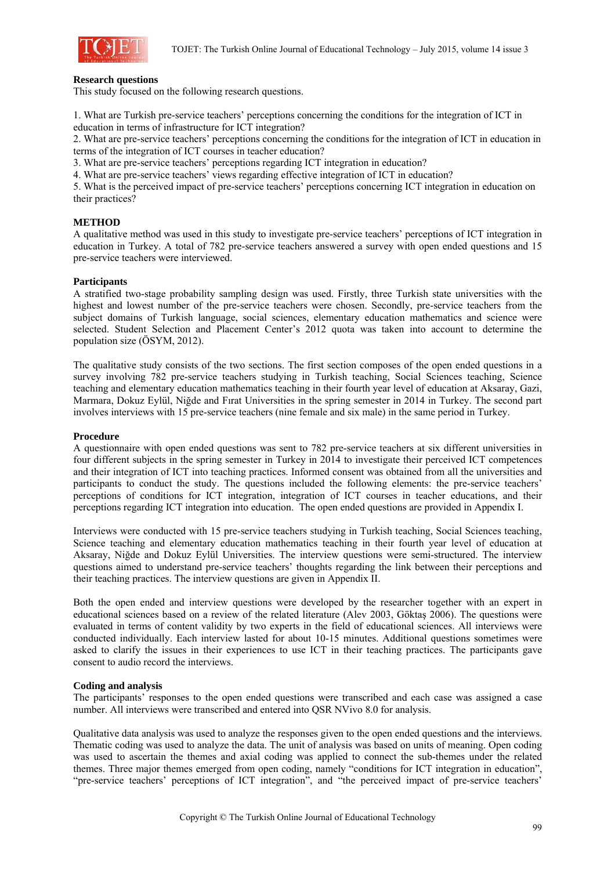

#### **Research questions**

This study focused on the following research questions.

1. What are Turkish pre-service teachers' perceptions concerning the conditions for the integration of ICT in education in terms of infrastructure for ICT integration?

2. What are pre-service teachers' perceptions concerning the conditions for the integration of ICT in education in terms of the integration of ICT courses in teacher education?

3. What are pre-service teachers' perceptions regarding ICT integration in education?

4. What are pre-service teachers' views regarding effective integration of ICT in education?

5. What is the perceived impact of pre-service teachers' perceptions concerning ICT integration in education on their practices?

### **METHOD**

A qualitative method was used in this study to investigate pre-service teachers' perceptions of ICT integration in education in Turkey. A total of 782 pre-service teachers answered a survey with open ended questions and 15 pre-service teachers were interviewed.

### **Participants**

A stratified two-stage probability sampling design was used. Firstly, three Turkish state universities with the highest and lowest number of the pre-service teachers were chosen. Secondly, pre-service teachers from the subject domains of Turkish language, social sciences, elementary education mathematics and science were selected. Student Selection and Placement Center's 2012 quota was taken into account to determine the population size (ÖSYM, 2012).

The qualitative study consists of the two sections. The first section composes of the open ended questions in a survey involving 782 pre-service teachers studying in Turkish teaching, Social Sciences teaching, Science teaching and elementary education mathematics teaching in their fourth year level of education at Aksaray, Gazi, Marmara, Dokuz Eylül, Niğde and Fırat Universities in the spring semester in 2014 in Turkey. The second part involves interviews with 15 pre-service teachers (nine female and six male) in the same period in Turkey.

#### **Procedure**

A questionnaire with open ended questions was sent to 782 pre-service teachers at six different universities in four different subjects in the spring semester in Turkey in 2014 to investigate their perceived ICT competences and their integration of ICT into teaching practices. Informed consent was obtained from all the universities and participants to conduct the study. The questions included the following elements: the pre-service teachers' perceptions of conditions for ICT integration, integration of ICT courses in teacher educations, and their perceptions regarding ICT integration into education. The open ended questions are provided in Appendix I.

Interviews were conducted with 15 pre-service teachers studying in Turkish teaching, Social Sciences teaching, Science teaching and elementary education mathematics teaching in their fourth year level of education at Aksaray, Niğde and Dokuz Eylül Universities. The interview questions were semi-structured. The interview questions aimed to understand pre-service teachers' thoughts regarding the link between their perceptions and their teaching practices. The interview questions are given in Appendix II.

Both the open ended and interview questions were developed by the researcher together with an expert in educational sciences based on a review of the related literature (Alev 2003, Göktaş 2006). The questions were evaluated in terms of content validity by two experts in the field of educational sciences. All interviews were conducted individually. Each interview lasted for about 10-15 minutes. Additional questions sometimes were asked to clarify the issues in their experiences to use ICT in their teaching practices. The participants gave consent to audio record the interviews.

#### **Coding and analysis**

The participants' responses to the open ended questions were transcribed and each case was assigned a case number. All interviews were transcribed and entered into QSR NVivo 8.0 for analysis.

Qualitative data analysis was used to analyze the responses given to the open ended questions and the interviews. Thematic coding was used to analyze the data. The unit of analysis was based on units of meaning. Open coding was used to ascertain the themes and axial coding was applied to connect the sub-themes under the related themes. Three major themes emerged from open coding, namely "conditions for ICT integration in education", "pre-service teachers' perceptions of ICT integration", and "the perceived impact of pre-service teachers'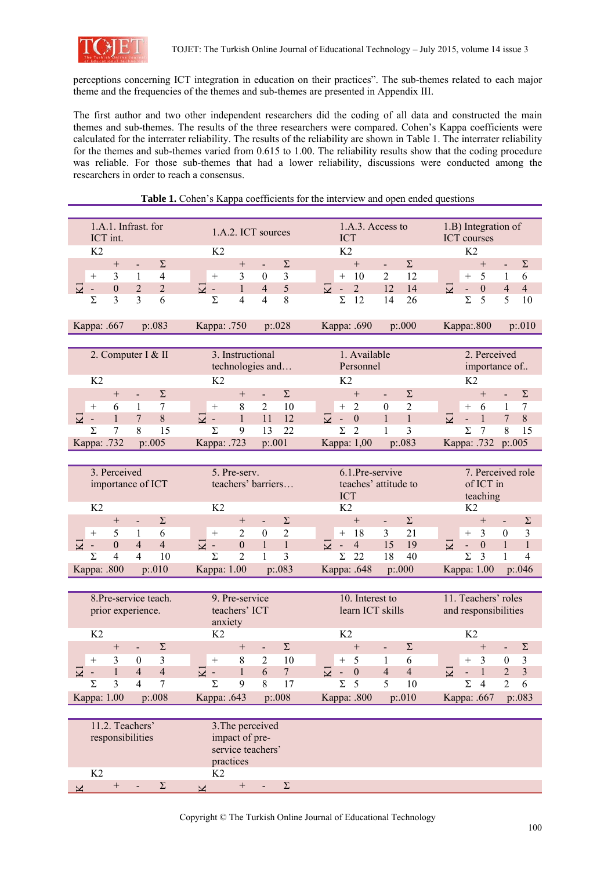

perceptions concerning ICT integration in education on their practices". The sub-themes related to each major theme and the frequencies of the themes and sub-themes are presented in Appendix III.

The first author and two other independent researchers did the coding of all data and constructed the main themes and sub-themes. The results of the three researchers were compared. Cohen's Kappa coefficients were calculated for the interrater reliability. The results of the reliability are shown in Table 1. The interrater reliability for the themes and sub-themes varied from 0.615 to 1.00. The reliability results show that the coding procedure was reliable. For those sub-themes that had a lower reliability, discussions were conducted among the researchers in order to reach a consensus.

| 1.A.1. Infrast. for                                                                           | 1.A.2. ICT sources                                                             | 1.A.3. Access to                                                                                        | 1.B) Integration of                                                                                              |  |  |  |  |  |  |
|-----------------------------------------------------------------------------------------------|--------------------------------------------------------------------------------|---------------------------------------------------------------------------------------------------------|------------------------------------------------------------------------------------------------------------------|--|--|--|--|--|--|
| ICT int.                                                                                      |                                                                                | <b>ICT</b>                                                                                              | <b>ICT</b> courses                                                                                               |  |  |  |  |  |  |
| K <sub>2</sub>                                                                                | K <sub>2</sub>                                                                 | K <sub>2</sub>                                                                                          | K <sub>2</sub>                                                                                                   |  |  |  |  |  |  |
| $\Sigma$<br>$^{+}$<br>$\blacksquare$                                                          | $\Sigma$<br>$^{+}$<br>$\blacksquare$                                           | $\Sigma$<br>$+$<br>$\blacksquare$                                                                       | $\Sigma$<br>$^{+}$<br>$\blacksquare$                                                                             |  |  |  |  |  |  |
| 3<br>4<br>1<br>$^{+}$                                                                         | 3<br>3<br>$\theta$<br>$^{+}$                                                   | $\overline{2}$<br>12<br>10<br>$^{+}$                                                                    | 5<br>$\mathbf{1}$<br>6<br>$^{+}$                                                                                 |  |  |  |  |  |  |
| $\overline{2}$<br>$\overline{\Sigma}$<br>$\boldsymbol{0}$<br>$\overline{2}$<br>$\blacksquare$ | $\Sigma$<br>5<br>$\mathbf{1}$<br>$\overline{4}$<br>$\blacksquare$              | $\overline{\mathbf{z}}$<br>$\overline{2}$<br>12<br>14<br>$\blacksquare$                                 | $\Sigma$<br>$\overline{4}$<br>$\overline{4}$<br>$\mathbf{0}$<br>$\sim$                                           |  |  |  |  |  |  |
| $\overline{3}$<br>3<br>6<br>Σ                                                                 | $\Sigma$<br>$\overline{4}$<br>$\overline{4}$<br>8                              | Σ<br>12<br>14<br>26                                                                                     | $\Sigma$<br>5<br>5<br>10                                                                                         |  |  |  |  |  |  |
| Kappa: .667<br>p: 083                                                                         | Kappa: .750<br>p: 028                                                          | Kappa: .690<br>p:000                                                                                    | Kappa: 800<br>p:010                                                                                              |  |  |  |  |  |  |
|                                                                                               |                                                                                |                                                                                                         |                                                                                                                  |  |  |  |  |  |  |
| 2. Computer I & II                                                                            | 3. Instructional                                                               | 1. Available                                                                                            | 2. Perceived                                                                                                     |  |  |  |  |  |  |
|                                                                                               | technologies and                                                               | Personnel                                                                                               | importance of                                                                                                    |  |  |  |  |  |  |
| K <sub>2</sub>                                                                                | K <sub>2</sub>                                                                 | K <sub>2</sub>                                                                                          | K <sub>2</sub>                                                                                                   |  |  |  |  |  |  |
| $\Sigma$<br>$^{+}$<br>$\overline{\phantom{a}}$                                                | $\Sigma$<br>$^{+}$<br>$\blacksquare$                                           | $\Sigma$<br>$^{+}$<br>$\blacksquare$                                                                    | $\Sigma$<br>$^{+}$<br>$\blacksquare$                                                                             |  |  |  |  |  |  |
| 7<br>6<br>1<br>$^{+}$                                                                         | 10<br>8<br>2<br>$^{+}$                                                         | $\overline{2}$<br>$\overline{2}$<br>$\boldsymbol{0}$<br>$^{+}$                                          | $\tau$<br>1<br>$^{+}$<br>6                                                                                       |  |  |  |  |  |  |
| 8<br>$\mathbf{1}$<br>7<br>$\overline{\mathbf{z}}$<br>$\blacksquare$                           | $\overline{\mathbf{K}}$<br>12<br>$\mathbf{1}$<br>11<br>$\blacksquare$          | $\mathbf{1}$<br>$\overline{\mathbf{z}}$<br>$\mathbf{1}$<br>$\boldsymbol{0}$<br>$\blacksquare$           | $\overline{\mathbf{z}}$<br>$8\,$<br>$\mathbf{1}$<br>7<br>$\blacksquare$                                          |  |  |  |  |  |  |
| $\overline{7}$<br>8<br>15<br>Σ                                                                | $\Sigma$<br>9<br>13<br>22                                                      | Σ<br>$\overline{2}$<br>$\mathbf{1}$<br>3                                                                | Σ<br>7<br>8<br>15                                                                                                |  |  |  |  |  |  |
| Kappa: .732<br>p:.005                                                                         | Kappa: .723<br>p: 001                                                          | Kappa: 1,00<br>p:.083                                                                                   | Kappa: .732<br>p:005                                                                                             |  |  |  |  |  |  |
|                                                                                               |                                                                                |                                                                                                         |                                                                                                                  |  |  |  |  |  |  |
| 3. Perceived                                                                                  | 5. Pre-serv.                                                                   | 6.1.Pre-servive                                                                                         | 7. Perceived role                                                                                                |  |  |  |  |  |  |
| importance of ICT                                                                             | teachers' barriers                                                             | teaches' attitude to                                                                                    | of ICT in                                                                                                        |  |  |  |  |  |  |
|                                                                                               |                                                                                | <b>ICT</b>                                                                                              | teaching                                                                                                         |  |  |  |  |  |  |
| K <sub>2</sub>                                                                                | K <sub>2</sub>                                                                 | K2                                                                                                      | K <sub>2</sub>                                                                                                   |  |  |  |  |  |  |
| $\Sigma$<br>$+$<br>$\blacksquare$                                                             | $\Sigma$<br>$^{+}$<br>$\blacksquare$                                           | $\Sigma$<br>$+$<br>$\sim$                                                                               | $^{+}$<br>$\Sigma$<br>$\overline{\phantom{a}}$                                                                   |  |  |  |  |  |  |
| 5<br>6<br>$\mathbf{1}$<br>$^{+}$                                                              | $\overline{2}$<br>$\overline{c}$<br>$\theta$<br>$\! + \!\!\!\!$                | 21<br>3<br>18<br>$^{+}$                                                                                 | $\overline{3}$<br>$\boldsymbol{0}$<br>3<br>$^{+}$                                                                |  |  |  |  |  |  |
| $\overline{4}$<br>$\mathbf{0}$<br>$\overline{\mathbf{z}}$<br>$\overline{4}$<br>$\blacksquare$ | $\Sigma$<br>$\mathbf{1}$<br>$\boldsymbol{0}$<br>$\mathbf{1}$<br>$\blacksquare$ | $\overline{\Sigma}$<br>15<br>$\overline{4}$<br>19<br>$\blacksquare$                                     | $\Sigma$<br>$\mathbf{0}$<br>$\mathbf{1}$<br>$\mathbf{1}$<br>$\blacksquare$                                       |  |  |  |  |  |  |
| Σ<br>$\overline{4}$<br>$\overline{4}$<br>10                                                   | $\overline{2}$<br>3<br>Σ<br>1                                                  | 22<br>Σ<br>18<br>40                                                                                     | $\Sigma$<br>3<br>4<br>1                                                                                          |  |  |  |  |  |  |
| Kappa: .800<br>p:.010                                                                         | p:.083<br>Kappa: 1.00                                                          | Kappa: .648<br>p:000                                                                                    | Kappa: 1.00<br>p: 046                                                                                            |  |  |  |  |  |  |
|                                                                                               |                                                                                |                                                                                                         |                                                                                                                  |  |  |  |  |  |  |
| 8.Pre-service teach.                                                                          | 9. Pre-service                                                                 | 10. Interest to                                                                                         | 11. Teachers' roles                                                                                              |  |  |  |  |  |  |
| prior experience.                                                                             | teachers' ICT                                                                  | learn ICT skills                                                                                        | and responsibilities                                                                                             |  |  |  |  |  |  |
| K <sub>2</sub>                                                                                | anxiety<br>K <sub>2</sub>                                                      | K <sub>2</sub>                                                                                          | K <sub>2</sub>                                                                                                   |  |  |  |  |  |  |
| $\Sigma$<br>$^{+}$<br>$\overline{\phantom{0}}$                                                | $\Sigma$<br>$^{+}$<br>$\blacksquare$                                           | $\Sigma$<br>$+$<br>$\blacksquare$                                                                       | $\Sigma$<br>$^{+}$<br>$\overline{\phantom{a}}$                                                                   |  |  |  |  |  |  |
| 3<br>3<br>$\boldsymbol{0}$<br>$^{+}$                                                          | 8<br>$\overline{2}$<br>10                                                      | 5<br>$\mathbf{1}$<br>6<br>$^{+}$                                                                        | 3<br>$\boldsymbol{0}$<br>3<br>$+$                                                                                |  |  |  |  |  |  |
| ▽<br>$\overline{4}$<br>$\mathbf{1}$<br>$\overline{4}$                                         | $\overline{\nabla}$<br>$\mathbf{1}$<br>$\overline{7}$<br>6                     | $\overline{\Sigma}$<br>$\boldsymbol{0}$<br>$\overline{4}$<br>$\overline{4}$<br>$\overline{\phantom{0}}$ | $\overline{\mathbf{z}}$<br>$\overline{\mathbf{3}}$<br>$\overline{c}$<br>$\mathbf{1}$<br>$\overline{\phantom{0}}$ |  |  |  |  |  |  |
| Σ<br>3<br>$\overline{7}$<br>$\overline{4}$                                                    | Σ<br>8<br>17<br>9                                                              | $\Sigma$ 5<br>10<br>5                                                                                   | $\overline{2}$<br>Σ<br>$\overline{4}$<br>6                                                                       |  |  |  |  |  |  |
| Kappa: 1.00<br>p:.008                                                                         | Kappa: .643<br>p:008                                                           | p:.010<br>Kappa: .800                                                                                   | p:.083<br>Kappa: .667                                                                                            |  |  |  |  |  |  |
|                                                                                               |                                                                                |                                                                                                         |                                                                                                                  |  |  |  |  |  |  |
| 11.2. Teachers'                                                                               | 3. The perceived                                                               |                                                                                                         |                                                                                                                  |  |  |  |  |  |  |
| responsibilities                                                                              | impact of pre-                                                                 |                                                                                                         |                                                                                                                  |  |  |  |  |  |  |
|                                                                                               | service teachers'                                                              |                                                                                                         |                                                                                                                  |  |  |  |  |  |  |
|                                                                                               | practices                                                                      |                                                                                                         |                                                                                                                  |  |  |  |  |  |  |
| K <sub>2</sub>                                                                                | K2                                                                             |                                                                                                         |                                                                                                                  |  |  |  |  |  |  |
| $\boldsymbol{+}$<br>$\Sigma$<br>$\geq$                                                        | $\Sigma$<br>$\qquad \qquad +$<br>$\mathbf{\underline{X}}$                      |                                                                                                         |                                                                                                                  |  |  |  |  |  |  |

# Table 1. Cohen's Kappa coefficients for the interview and open ended questions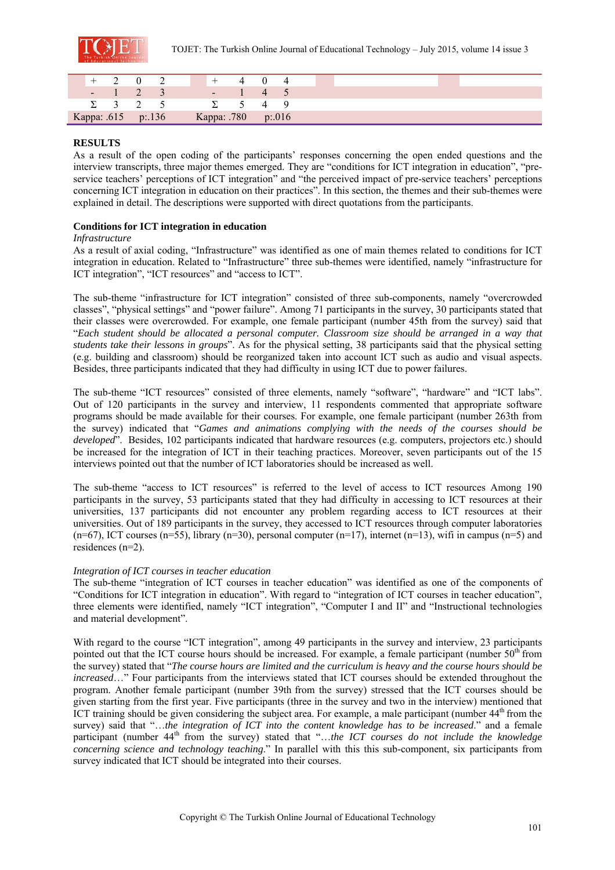

|  | $+$ 2 0 2          |  | $+$                | 4 0 4    |  |  |  |  |  |  |  |
|--|--------------------|--|--------------------|----------|--|--|--|--|--|--|--|
|  | $-1$ 2 3           |  |                    | $-1$ 4 5 |  |  |  |  |  |  |  |
|  | $\Sigma$ 3 2 5     |  | $\Sigma$ 5 4 9     |          |  |  |  |  |  |  |  |
|  | Kappa: .615 p:.136 |  | Kappa: .780 p:.016 |          |  |  |  |  |  |  |  |

# **RESULTS**

As a result of the open coding of the participants' responses concerning the open ended questions and the interview transcripts, three major themes emerged. They are "conditions for ICT integration in education", "preservice teachers' perceptions of ICT integration" and "the perceived impact of pre-service teachers' perceptions concerning ICT integration in education on their practices". In this section, the themes and their sub-themes were explained in detail. The descriptions were supported with direct quotations from the participants.

# **Conditions for ICT integration in education**

#### *Infrastructure*

As a result of axial coding, "Infrastructure" was identified as one of main themes related to conditions for ICT integration in education. Related to "Infrastructure" three sub-themes were identified, namely "infrastructure for ICT integration", "ICT resources" and "access to ICT".

The sub-theme "infrastructure for ICT integration" consisted of three sub-components, namely "overcrowded classes", "physical settings" and "power failure". Among 71 participants in the survey, 30 participants stated that their classes were overcrowded. For example, one female participant (number 45th from the survey) said that "*Each student should be allocated a personal computer. Classroom size should be arranged in a way that students take their lessons in groups*". As for the physical setting, 38 participants said that the physical setting (e.g. building and classroom) should be reorganized taken into account ICT such as audio and visual aspects. Besides, three participants indicated that they had difficulty in using ICT due to power failures.

The sub-theme "ICT resources" consisted of three elements, namely "software", "hardware" and "ICT labs". Out of 120 participants in the survey and interview, 11 respondents commented that appropriate software programs should be made available for their courses. For example, one female participant (number 263th from the survey) indicated that "*Games and animations complying with the needs of the courses should be developed*". Besides, 102 participants indicated that hardware resources (e.g. computers, projectors etc.) should be increased for the integration of ICT in their teaching practices. Moreover, seven participants out of the 15 interviews pointed out that the number of ICT laboratories should be increased as well.

The sub-theme "access to ICT resources" is referred to the level of access to ICT resources Among 190 participants in the survey, 53 participants stated that they had difficulty in accessing to ICT resources at their universities, 137 participants did not encounter any problem regarding access to ICT resources at their universities. Out of 189 participants in the survey, they accessed to ICT resources through computer laboratories  $(n=67)$ , ICT courses  $(n=55)$ , library  $(n=30)$ , personal computer  $(n=17)$ , internet  $(n=13)$ , wifi in campus  $(n=5)$  and residences (n=2).

# *Integration of ICT courses in teacher education*

The sub-theme "integration of ICT courses in teacher education" was identified as one of the components of "Conditions for ICT integration in education". With regard to "integration of ICT courses in teacher education", three elements were identified, namely "ICT integration", "Computer I and II" and "Instructional technologies and material development".

With regard to the course "ICT integration", among 49 participants in the survey and interview, 23 participants pointed out that the ICT course hours should be increased. For example, a female participant (number 50<sup>th</sup> from the survey) stated that "*The course hours are limited and the curriculum is heavy and the course hours should be increased*…" Four participants from the interviews stated that ICT courses should be extended throughout the program. Another female participant (number 39th from the survey) stressed that the ICT courses should be given starting from the first year. Five participants (three in the survey and two in the interview) mentioned that ICT training should be given considering the subject area. For example, a male participant (number  $44<sup>th</sup>$  from the survey) said that "…*the integration of ICT into the content knowledge has to be increased*." and a female participant (number 44<sup>th</sup> from the survey) stated that "...the ICT courses do not include the knowledge *concerning science and technology teaching*." In parallel with this this sub-component, six participants from survey indicated that ICT should be integrated into their courses.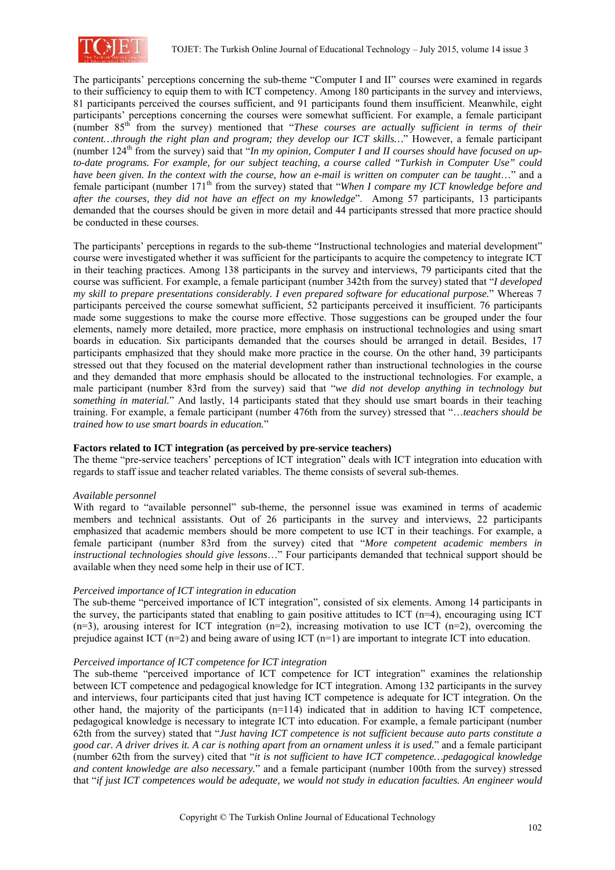

The participants' perceptions concerning the sub-theme "Computer I and II" courses were examined in regards to their sufficiency to equip them to with ICT competency. Among 180 participants in the survey and interviews, 81 participants perceived the courses sufficient, and 91 participants found them insufficient. Meanwhile, eight participants' perceptions concerning the courses were somewhat sufficient. For example, a female participant (number 85th from the survey) mentioned that "*These courses are actually sufficient in terms of their content…through the right plan and program; they develop our ICT skills…*" However, a female participant (number 124<sup>th</sup> from the survey) said that "*In my opinion, Computer I and II courses should have focused on upto-date programs. For example, for our subject teaching, a course called "Turkish in Computer Use" could have been given. In the context with the course, how an e-mail is written on computer can be taught...*" and a female participant (number 171<sup>th</sup> from the survey) stated that "*When I compare my ICT knowledge before and after the courses, they did not have an effect on my knowledge*". Among 57 participants, 13 participants demanded that the courses should be given in more detail and 44 participants stressed that more practice should be conducted in these courses.

The participants' perceptions in regards to the sub-theme "Instructional technologies and material development" course were investigated whether it was sufficient for the participants to acquire the competency to integrate ICT in their teaching practices. Among 138 participants in the survey and interviews, 79 participants cited that the course was sufficient. For example, a female participant (number 342th from the survey) stated that "*I developed my skill to prepare presentations considerably. I even prepared software for educational purpose.*" Whereas 7 participants perceived the course somewhat sufficient, 52 participants perceived it insufficient. 76 participants made some suggestions to make the course more effective. Those suggestions can be grouped under the four elements, namely more detailed, more practice, more emphasis on instructional technologies and using smart boards in education. Six participants demanded that the courses should be arranged in detail. Besides, 17 participants emphasized that they should make more practice in the course. On the other hand, 39 participants stressed out that they focused on the material development rather than instructional technologies in the course and they demanded that more emphasis should be allocated to the instructional technologies. For example, a male participant (number 83rd from the survey) said that "*we did not develop anything in technology but something in material.*" And lastly, 14 participants stated that they should use smart boards in their teaching training. For example, a female participant (number 476th from the survey) stressed that "…*teachers should be trained how to use smart boards in education.*"

# **Factors related to ICT integration (as perceived by pre-service teachers)**

The theme "pre-service teachers' perceptions of ICT integration" deals with ICT integration into education with regards to staff issue and teacher related variables. The theme consists of several sub-themes.

# *Available personnel*

With regard to "available personnel" sub-theme, the personnel issue was examined in terms of academic members and technical assistants. Out of 26 participants in the survey and interviews, 22 participants emphasized that academic members should be more competent to use ICT in their teachings. For example, a female participant (number 83rd from the survey) cited that "*More competent academic members in instructional technologies should give lessons*…" Four participants demanded that technical support should be available when they need some help in their use of ICT.

#### *Perceived importance of ICT integration in education*

The sub-theme "perceived importance of ICT integration", consisted of six elements. Among 14 participants in the survey, the participants stated that enabling to gain positive attitudes to ICT  $(n=4)$ , encouraging using ICT  $(n=3)$ , arousing interest for ICT integration  $(n=2)$ , increasing motivation to use ICT  $(n=2)$ , overcoming the prejudice against ICT (n=2) and being aware of using ICT (n=1) are important to integrate ICT into education.

#### *Perceived importance of ICT competence for ICT integration*

The sub-theme "perceived importance of ICT competence for ICT integration" examines the relationship between ICT competence and pedagogical knowledge for ICT integration. Among 132 participants in the survey and interviews, four participants cited that just having ICT competence is adequate for ICT integration. On the other hand, the majority of the participants (n=114) indicated that in addition to having ICT competence, pedagogical knowledge is necessary to integrate ICT into education. For example, a female participant (number 62th from the survey) stated that "*Just having ICT competence is not sufficient because auto parts constitute a good car. A driver drives it. A car is nothing apart from an ornament unless it is used.*" and a female participant (number 62th from the survey) cited that "*it is not sufficient to have ICT competence…pedagogical knowledge and content knowledge are also necessary.*" and a female participant (number 100th from the survey) stressed that "*if just ICT competences would be adequate, we would not study in education faculties. An engineer would*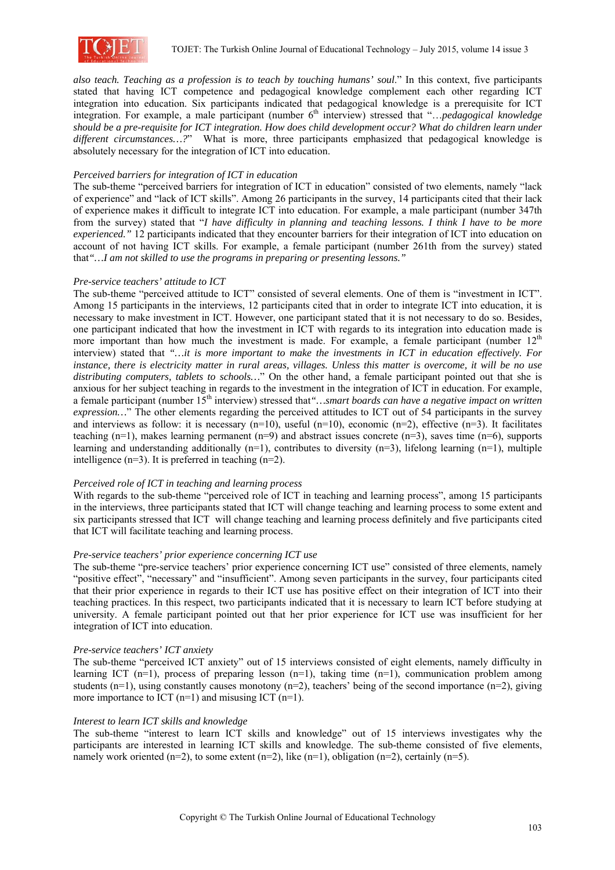

*also teach. Teaching as a profession is to teach by touching humans' soul*." In this context, five participants stated that having ICT competence and pedagogical knowledge complement each other regarding ICT integration into education. Six participants indicated that pedagogical knowledge is a prerequisite for ICT integration. For example, a male participant (number 6<sup>th</sup> interview) stressed that "...*pedagogical knowledge should be a pre-requisite for ICT integration. How does child development occur? What do children learn under different circumstances…?*" What is more, three participants emphasized that pedagogical knowledge is absolutely necessary for the integration of ICT into education.

# *Perceived barriers for integration of ICT in education*

The sub-theme "perceived barriers for integration of ICT in education" consisted of two elements, namely "lack of experience" and "lack of ICT skills". Among 26 participants in the survey, 14 participants cited that their lack of experience makes it difficult to integrate ICT into education. For example, a male participant (number 347th from the survey) stated that "*I have difficulty in planning and teaching lessons. I think I have to be more experienced."* 12 participants indicated that they encounter barriers for their integration of ICT into education on account of not having ICT skills. For example, a female participant (number 261th from the survey) stated that*"…I am not skilled to use the programs in preparing or presenting lessons."*

# *Pre-service teachers' attitude to ICT*

The sub-theme "perceived attitude to ICT" consisted of several elements. One of them is "investment in ICT". Among 15 participants in the interviews, 12 participants cited that in order to integrate ICT into education, it is necessary to make investment in ICT. However, one participant stated that it is not necessary to do so. Besides, one participant indicated that how the investment in ICT with regards to its integration into education made is more important than how much the investment is made. For example, a female participant (number  $12<sup>th</sup>$ interview) stated that *"…it is more important to make the investments in ICT in education effectively. For instance, there is electricity matter in rural areas, villages. Unless this matter is overcome, it will be no use distributing computers, tablets to schools…*" On the other hand, a female participant pointed out that she is anxious for her subject teaching in regards to the investment in the integration of ICT in education. For example, a female participant (number 15<sup>th</sup> interview) stressed that "... smart boards can have a negative impact on written *expression…*" The other elements regarding the perceived attitudes to ICT out of 54 participants in the survey and interviews as follow: it is necessary  $(n=10)$ , useful  $(n=10)$ , economic  $(n=2)$ , effective  $(n=3)$ . It facilitates teaching  $(n=1)$ , makes learning permanent  $(n=9)$  and abstract issues concrete  $(n=3)$ , saves time  $(n=6)$ , supports learning and understanding additionally  $(n=1)$ , contributes to diversity  $(n=3)$ , lifelong learning  $(n=1)$ , multiple intelligence (n=3). It is preferred in teaching (n=2).

#### *Perceived role of ICT in teaching and learning process*

With regards to the sub-theme "perceived role of ICT in teaching and learning process", among 15 participants in the interviews, three participants stated that ICT will change teaching and learning process to some extent and six participants stressed that ICT will change teaching and learning process definitely and five participants cited that ICT will facilitate teaching and learning process.

#### *Pre-service teachers' prior experience concerning ICT use*

The sub-theme "pre-service teachers' prior experience concerning ICT use" consisted of three elements, namely "positive effect", "necessary" and "insufficient". Among seven participants in the survey, four participants cited that their prior experience in regards to their ICT use has positive effect on their integration of ICT into their teaching practices. In this respect, two participants indicated that it is necessary to learn ICT before studying at university. A female participant pointed out that her prior experience for ICT use was insufficient for her integration of ICT into education.

#### *Pre-service teachers' ICT anxiety*

The sub-theme "perceived ICT anxiety" out of 15 interviews consisted of eight elements, namely difficulty in learning ICT (n=1), process of preparing lesson (n=1), taking time (n=1), communication problem among students  $(n=1)$ , using constantly causes monotony  $(n=2)$ , teachers' being of the second importance  $(n=2)$ , giving more importance to ICT  $(n=1)$  and misusing ICT  $(n=1)$ .

#### *Interest to learn ICT skills and knowledge*

The sub-theme "interest to learn ICT skills and knowledge" out of 15 interviews investigates why the participants are interested in learning ICT skills and knowledge. The sub-theme consisted of five elements, namely work oriented (n=2), to some extent (n=2), like (n=1), obligation (n=2), certainly (n=5).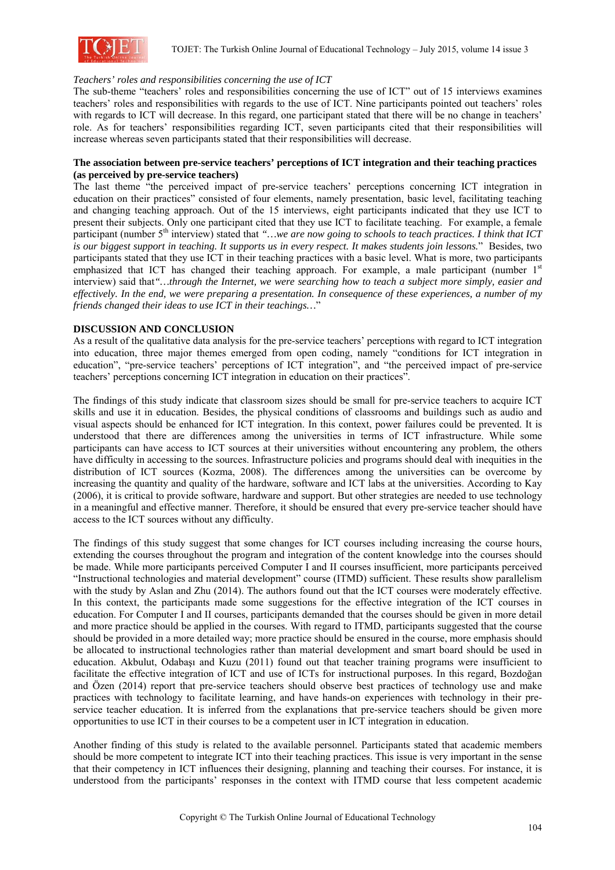

### *Teachers' roles and responsibilities concerning the use of ICT*

The sub-theme "teachers' roles and responsibilities concerning the use of ICT" out of 15 interviews examines teachers' roles and responsibilities with regards to the use of ICT. Nine participants pointed out teachers' roles with regards to ICT will decrease. In this regard, one participant stated that there will be no change in teachers' role. As for teachers' responsibilities regarding ICT, seven participants cited that their responsibilities will increase whereas seven participants stated that their responsibilities will decrease.

#### **The association between pre-service teachers' perceptions of ICT integration and their teaching practices (as perceived by pre-service teachers)**

The last theme "the perceived impact of pre-service teachers' perceptions concerning ICT integration in education on their practices" consisted of four elements, namely presentation, basic level, facilitating teaching and changing teaching approach. Out of the 15 interviews, eight participants indicated that they use ICT to present their subjects. Only one participant cited that they use ICT to facilitate teaching. For example, a female participant (number 5<sup>th</sup> interview) stated that "…we are now going to schools to teach practices. I think that ICT *is our biggest support in teaching. It supports us in every respect. It makes students join lessons.*" Besides, two participants stated that they use ICT in their teaching practices with a basic level. What is more, two participants emphasized that ICT has changed their teaching approach. For example, a male participant (number  $1<sup>st</sup>$ interview) said that*"…through the Internet, we were searching how to teach a subject more simply, easier and effectively. In the end, we were preparing a presentation. In consequence of these experiences, a number of my friends changed their ideas to use ICT in their teachings…*"

### **DISCUSSION AND CONCLUSION**

As a result of the qualitative data analysis for the pre-service teachers' perceptions with regard to ICT integration into education, three major themes emerged from open coding, namely "conditions for ICT integration in education", "pre-service teachers' perceptions of ICT integration", and "the perceived impact of pre-service teachers' perceptions concerning ICT integration in education on their practices".

The findings of this study indicate that classroom sizes should be small for pre-service teachers to acquire ICT skills and use it in education. Besides, the physical conditions of classrooms and buildings such as audio and visual aspects should be enhanced for ICT integration. In this context, power failures could be prevented. It is understood that there are differences among the universities in terms of ICT infrastructure. While some participants can have access to ICT sources at their universities without encountering any problem, the others have difficulty in accessing to the sources. Infrastructure policies and programs should deal with inequities in the distribution of ICT sources (Kozma, 2008). The differences among the universities can be overcome by increasing the quantity and quality of the hardware, software and ICT labs at the universities. According to Kay (2006), it is critical to provide software, hardware and support. But other strategies are needed to use technology in a meaningful and effective manner. Therefore, it should be ensured that every pre-service teacher should have access to the ICT sources without any difficulty.

The findings of this study suggest that some changes for ICT courses including increasing the course hours, extending the courses throughout the program and integration of the content knowledge into the courses should be made. While more participants perceived Computer I and II courses insufficient, more participants perceived "Instructional technologies and material development" course (ITMD) sufficient. These results show parallelism with the study by Aslan and Zhu (2014). The authors found out that the ICT courses were moderately effective. In this context, the participants made some suggestions for the effective integration of the ICT courses in education. For Computer I and II courses, participants demanded that the courses should be given in more detail and more practice should be applied in the courses. With regard to ITMD, participants suggested that the course should be provided in a more detailed way; more practice should be ensured in the course, more emphasis should be allocated to instructional technologies rather than material development and smart board should be used in education. Akbulut, Odabaşı and Kuzu (2011) found out that teacher training programs were insufficient to facilitate the effective integration of ICT and use of ICTs for instructional purposes. In this regard, Bozdoğan and Özen (2014) report that pre-service teachers should observe best practices of technology use and make practices with technology to facilitate learning, and have hands-on experiences with technology in their preservice teacher education. It is inferred from the explanations that pre-service teachers should be given more opportunities to use ICT in their courses to be a competent user in ICT integration in education.

Another finding of this study is related to the available personnel. Participants stated that academic members should be more competent to integrate ICT into their teaching practices. This issue is very important in the sense that their competency in ICT influences their designing, planning and teaching their courses. For instance, it is understood from the participants' responses in the context with ITMD course that less competent academic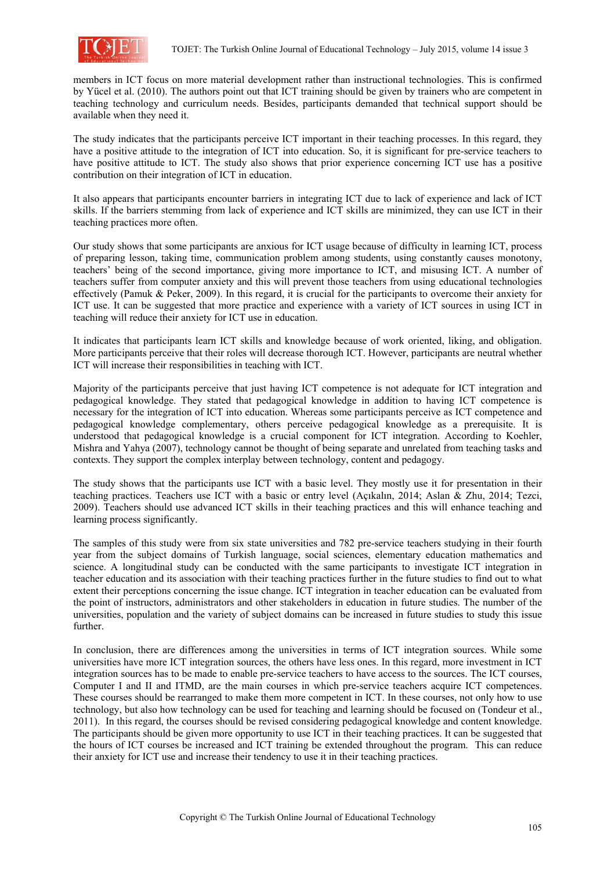

members in ICT focus on more material development rather than instructional technologies. This is confirmed by Yücel et al. (2010). The authors point out that ICT training should be given by trainers who are competent in teaching technology and curriculum needs. Besides, participants demanded that technical support should be available when they need it.

The study indicates that the participants perceive ICT important in their teaching processes. In this regard, they have a positive attitude to the integration of ICT into education. So, it is significant for pre-service teachers to have positive attitude to ICT. The study also shows that prior experience concerning ICT use has a positive contribution on their integration of ICT in education.

It also appears that participants encounter barriers in integrating ICT due to lack of experience and lack of ICT skills. If the barriers stemming from lack of experience and ICT skills are minimized, they can use ICT in their teaching practices more often.

Our study shows that some participants are anxious for ICT usage because of difficulty in learning ICT, process of preparing lesson, taking time, communication problem among students, using constantly causes monotony, teachers' being of the second importance, giving more importance to ICT, and misusing ICT. A number of teachers suffer from computer anxiety and this will prevent those teachers from using educational technologies effectively (Pamuk & Peker, 2009). In this regard, it is crucial for the participants to overcome their anxiety for ICT use. It can be suggested that more practice and experience with a variety of ICT sources in using ICT in teaching will reduce their anxiety for ICT use in education.

It indicates that participants learn ICT skills and knowledge because of work oriented, liking, and obligation. More participants perceive that their roles will decrease thorough ICT. However, participants are neutral whether ICT will increase their responsibilities in teaching with ICT.

Majority of the participants perceive that just having ICT competence is not adequate for ICT integration and pedagogical knowledge. They stated that pedagogical knowledge in addition to having ICT competence is necessary for the integration of ICT into education. Whereas some participants perceive as ICT competence and pedagogical knowledge complementary, others perceive pedagogical knowledge as a prerequisite. It is understood that pedagogical knowledge is a crucial component for ICT integration. According to Koehler, Mishra and Yahya (2007), technology cannot be thought of being separate and unrelated from teaching tasks and contexts. They support the complex interplay between technology, content and pedagogy.

The study shows that the participants use ICT with a basic level. They mostly use it for presentation in their teaching practices. Teachers use ICT with a basic or entry level (Açıkalın, 2014; Aslan & Zhu, 2014; Tezci, 2009). Teachers should use advanced ICT skills in their teaching practices and this will enhance teaching and learning process significantly.

The samples of this study were from six state universities and 782 pre-service teachers studying in their fourth year from the subject domains of Turkish language, social sciences, elementary education mathematics and science. A longitudinal study can be conducted with the same participants to investigate ICT integration in teacher education and its association with their teaching practices further in the future studies to find out to what extent their perceptions concerning the issue change. ICT integration in teacher education can be evaluated from the point of instructors, administrators and other stakeholders in education in future studies. The number of the universities, population and the variety of subject domains can be increased in future studies to study this issue further.

In conclusion, there are differences among the universities in terms of ICT integration sources. While some universities have more ICT integration sources, the others have less ones. In this regard, more investment in ICT integration sources has to be made to enable pre-service teachers to have access to the sources. The ICT courses, Computer I and II and ITMD, are the main courses in which pre-service teachers acquire ICT competences. These courses should be rearranged to make them more competent in ICT. In these courses, not only how to use technology, but also how technology can be used for teaching and learning should be focused on (Tondeur et al., 2011). In this regard, the courses should be revised considering pedagogical knowledge and content knowledge. The participants should be given more opportunity to use ICT in their teaching practices. It can be suggested that the hours of ICT courses be increased and ICT training be extended throughout the program. This can reduce their anxiety for ICT use and increase their tendency to use it in their teaching practices.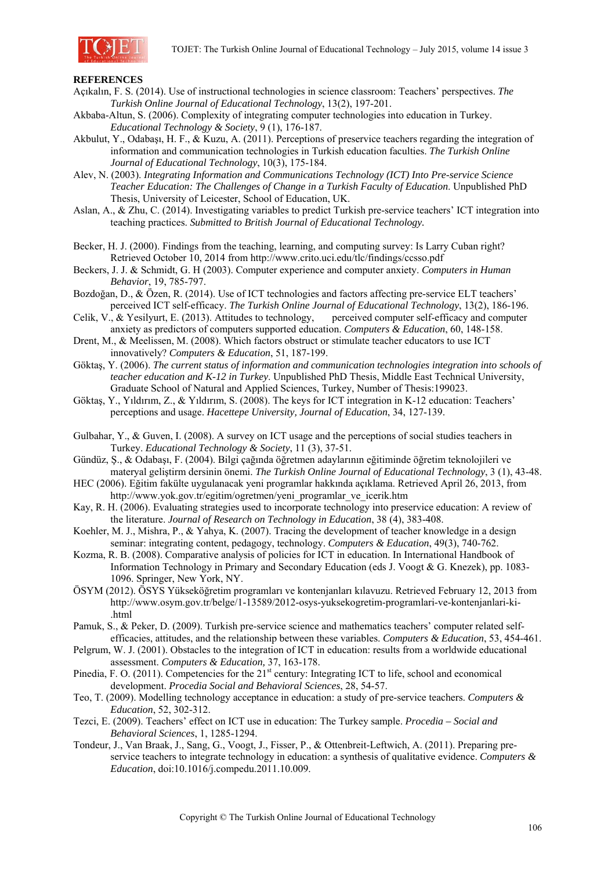

### **REFERENCES**

- Açıkalın, F. S. (2014). Use of instructional technologies in science classroom: Teachers' perspectives. *The Turkish Online Journal of Educational Technology*, 13(2), 197-201.
- Akbaba-Altun, S. (2006). Complexity of integrating computer technologies into education in Turkey. *Educational Technology & Society*, 9 (1), 176-187.
- Akbulut, Y., Odabaşı, H. F., & Kuzu, A. (2011). Perceptions of preservice teachers regarding the integration of information and communication technologies in Turkish education faculties. *The Turkish Online Journal of Educational Technology*, 10(3), 175-184.
- Alev, N. (2003). *Integrating Information and Communications Technology (ICT) Into Pre-service Science Teacher Education: The Challenges of Change in a Turkish Faculty of Education*. Unpublished PhD Thesis, University of Leicester, School of Education, UK.
- Aslan, A., & Zhu, C. (2014). Investigating variables to predict Turkish pre-service teachers' ICT integration into teaching practices. *Submitted to British Journal of Educational Technology.*
- Becker, H. J. (2000). Findings from the teaching, learning, and computing survey: Is Larry Cuban right? Retrieved October 10, 2014 from http://www.crito.uci.edu/tlc/findings/ccsso.pdf
- Beckers, J. J. & Schmidt, G. H (2003). Computer experience and computer anxiety. *Computers in Human Behavior*, 19, 785-797.
- Bozdoğan, D., & Özen, R. (2014). Use of ICT technologies and factors affecting pre-service ELT teachers' perceived ICT self-efficacy. *The Turkish Online Journal of Educational Technology*, 13(2), 186-196.
- Celik, V., & Yesilyurt, E. (2013). Attitudes to technology, perceived computer self-efficacy and computer anxiety as predictors of computers supported education. *Computers & Education*, 60, 148-158.
- Drent, M., & Meelissen, M. (2008). Which factors obstruct or stimulate teacher educators to use ICT innovatively? *Computers & Education*, 51, 187-199.
- Göktaş, Y. (2006). *The current status of information and communication technologies integration into schools of teacher education and K-12 in Turkey*. Unpublished PhD Thesis, Middle East Technical University, Graduate School of Natural and Applied Sciences, Turkey, Number of Thesis:199023.
- Göktaş, Y., Yıldırım, Z., & Yıldırım, S. (2008). The keys for ICT integration in K-12 education: Teachers' perceptions and usage. *Hacettepe University, Journal of Education*, 34, 127-139.
- Gulbahar, Y., & Guven, I. (2008). A survey on ICT usage and the perceptions of social studies teachers in Turkey. *Educational Technology & Society*, 11 (3), 37-51.
- Gündüz, Ş., & Odabaşı, F. (2004). Bilgi çağında öğretmen adaylarının eğitiminde öğretim teknolojileri ve materyal geliştirm dersinin önemi. *The Turkish Online Journal of Educational Technology*, 3 (1), 43-48.
- HEC (2006). Eğitim fakülte uygulanacak yeni programlar hakkında açıklama. Retrieved April 26, 2013, from http://www.yok.gov.tr/egitim/ogretmen/yeni\_programlar\_ve\_icerik.htm
- Kay, R. H. (2006). Evaluating strategies used to incorporate technology into preservice education: A review of the literature. *Journal of Research on Technology in Education*, 38 (4), 383-408.
- Koehler, M. J., Mishra, P., & Yahya, K. (2007). Tracing the development of teacher knowledge in a design seminar: integrating content, pedagogy, technology. *Computers & Education*, 49(3), 740-762.
- Kozma, R. B. (2008). Comparative analysis of policies for ICT in education. In International Handbook of Information Technology in Primary and Secondary Education (eds J. Voogt & G. Knezek), pp. 1083- 1096. Springer, New York, NY.
- ÖSYM (2012). ÖSYS Yükseköğretim programları ve kontenjanları kılavuzu. Retrieved February 12, 2013 from http://www.osym.gov.tr/belge/1-13589/2012-osys-yuksekogretim-programlari-ve-kontenjanlari-ki- .html

Pamuk, S., & Peker, D. (2009). Turkish pre-service science and mathematics teachers' computer related selfefficacies, attitudes, and the relationship between these variables. *Computers & Education*, 53, 454-461.

- Pelgrum, W. J. (2001). Obstacles to the integration of ICT in education: results from a worldwide educational assessment. *Computers & Education,* 37, 163-178.
- Pinedia, F. O. (2011). Competencies for the 21<sup>st</sup> century: Integrating ICT to life, school and economical development. *Procedia Social and Behavioral Sciences*, 28, 54-57.
- Teo, T. (2009). Modelling technology acceptance in education: a study of pre-service teachers. *Computers & Education*, 52, 302-312.
- Tezci, E. (2009). Teachers' effect on ICT use in education: The Turkey sample. *Procedia Social and Behavioral Sciences*, 1, 1285-1294.
- Tondeur, J., Van Braak, J., Sang, G., Voogt, J., Fisser, P., & Ottenbreit-Leftwich, A. (2011). Preparing preservice teachers to integrate technology in education: a synthesis of qualitative evidence. *Computers & Education*, doi:10.1016/j.compedu.2011.10.009.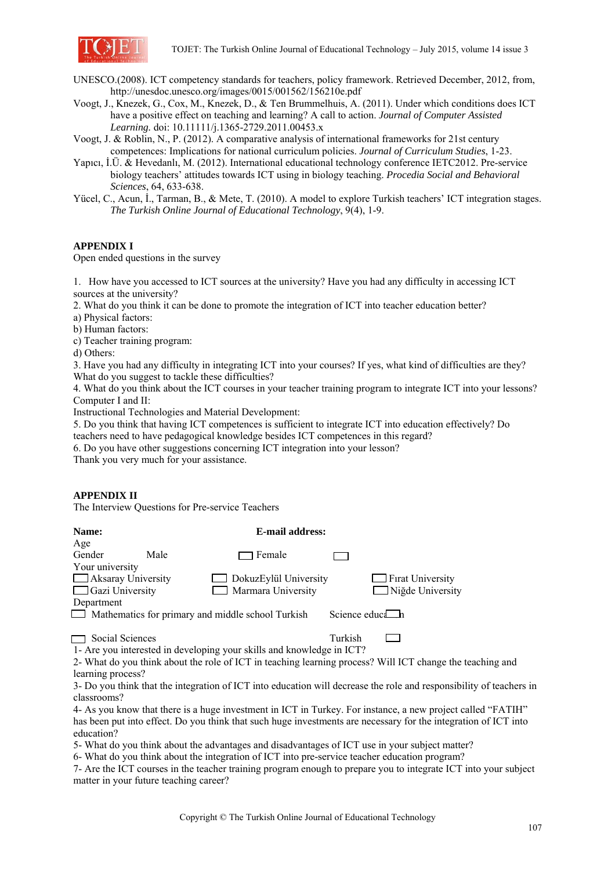

- UNESCO.(2008). ICT competency standards for teachers, policy framework. Retrieved December, 2012, from, http://unesdoc.unesco.org/images/0015/001562/156210e.pdf
- Voogt, J., Knezek, G., Cox, M., Knezek, D., & Ten Brummelhuis, A. (2011). Under which conditions does ICT have a positive effect on teaching and learning? A call to action. *Journal of Computer Assisted Learning.* doi: 10.11111/j.1365-2729.2011.00453.x
- Voogt, J. & Roblin, N., P. (2012). A comparative analysis of international frameworks for 21st century competences: Implications for national curriculum policies. *Journal of Curriculum Studies*, 1-23.
- Yapıcı, İ.Ü. & Hevedanlı, M. (2012). International educational technology conference IETC2012. Pre-service biology teachers' attitudes towards ICT using in biology teaching. *Procedia Social and Behavioral Sciences*, 64, 633-638.
- Yücel, C., Acun, İ., Tarman, B., & Mete, T. (2010). A model to explore Turkish teachers' ICT integration stages. *The Turkish Online Journal of Educational Technology*, 9(4), 1-9.

### **APPENDIX I**

Open ended questions in the survey

1. How have you accessed to ICT sources at the university? Have you had any difficulty in accessing ICT sources at the university?

2. What do you think it can be done to promote the integration of ICT into teacher education better?

a) Physical factors:

b) Human factors:

c) Teacher training program:

d) Others:

3. Have you had any difficulty in integrating ICT into your courses? If yes, what kind of difficulties are they? What do you suggest to tackle these difficulties?

4. What do you think about the ICT courses in your teacher training program to integrate ICT into your lessons? Computer I and II:

Instructional Technologies and Material Development:

5. Do you think that having ICT competences is sufficient to integrate ICT into education effectively? Do

teachers need to have pedagogical knowledge besides ICT competences in this regard?

6. Do you have other suggestions concerning ICT integration into your lesson?

Thank you very much for your assistance.

#### **APPENDIX II**

The Interview Questions for Pre-service Teachers

| Name:              |      | <b>E-mail address:</b>                                   |                        |                         |  |  |  |
|--------------------|------|----------------------------------------------------------|------------------------|-------------------------|--|--|--|
| Age                |      |                                                          |                        |                         |  |  |  |
| Gender             | Male | 1 Female                                                 |                        |                         |  |  |  |
| Your university    |      |                                                          |                        |                         |  |  |  |
| Aksaray University |      | Dokuz Eylül University                                   |                        | $\Box$ Firat University |  |  |  |
| Gazi University    |      | $\Box$ Marmara University                                |                        | $\Box$ Niğde University |  |  |  |
| Department         |      |                                                          |                        |                         |  |  |  |
|                    |      | $\Box$ Mathematics for primary and middle school Turkish | Science educa $\Box$ h |                         |  |  |  |
| Social Sciences    |      |                                                          | Turkish                |                         |  |  |  |

1- Are you interested in developing your skills and knowledge in ICT?

2- What do you think about the role of ICT in teaching learning process? Will ICT change the teaching and learning process?

3- Do you think that the integration of ICT into education will decrease the role and responsibility of teachers in classrooms?

4- As you know that there is a huge investment in ICT in Turkey. For instance, a new project called "FATIH" has been put into effect. Do you think that such huge investments are necessary for the integration of ICT into education?

5- What do you think about the advantages and disadvantages of ICT use in your subject matter?

6- What do you think about the integration of ICT into pre-service teacher education program?

7- Are the ICT courses in the teacher training program enough to prepare you to integrate ICT into your subject matter in your future teaching career?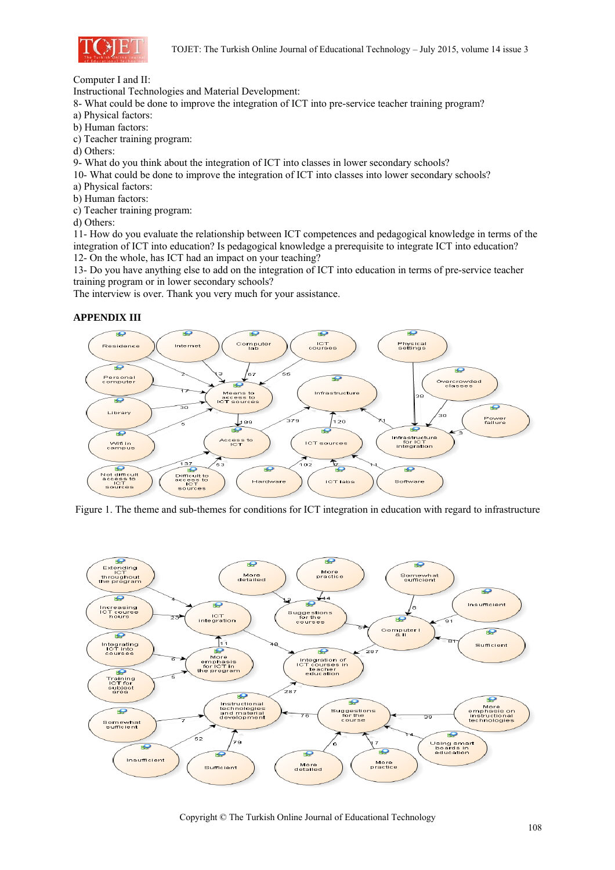

Computer I and II:

Instructional Technologies and Material Development:

8- What could be done to improve the integration of ICT into pre-service teacher training program?

- a) Physical factors:
- b) Human factors:
- c) Teacher training program:
- d) Others:

9- What do you think about the integration of ICT into classes in lower secondary schools?

- 10- What could be done to improve the integration of ICT into classes into lower secondary schools?
- a) Physical factors:
- b) Human factors:
- c) Teacher training program:
- d) Others:

11- How do you evaluate the relationship between ICT competences and pedagogical knowledge in terms of the integration of ICT into education? Is pedagogical knowledge a prerequisite to integrate ICT into education? 12- On the whole, has ICT had an impact on your teaching?

13- Do you have anything else to add on the integration of ICT into education in terms of pre-service teacher training program or in lower secondary schools?

The interview is over. Thank you very much for your assistance.

# **APPENDIX III**



Figure 1. The theme and sub-themes for conditions for ICT integration in education with regard to infrastructure



Copyright © The Turkish Online Journal of Educational Technology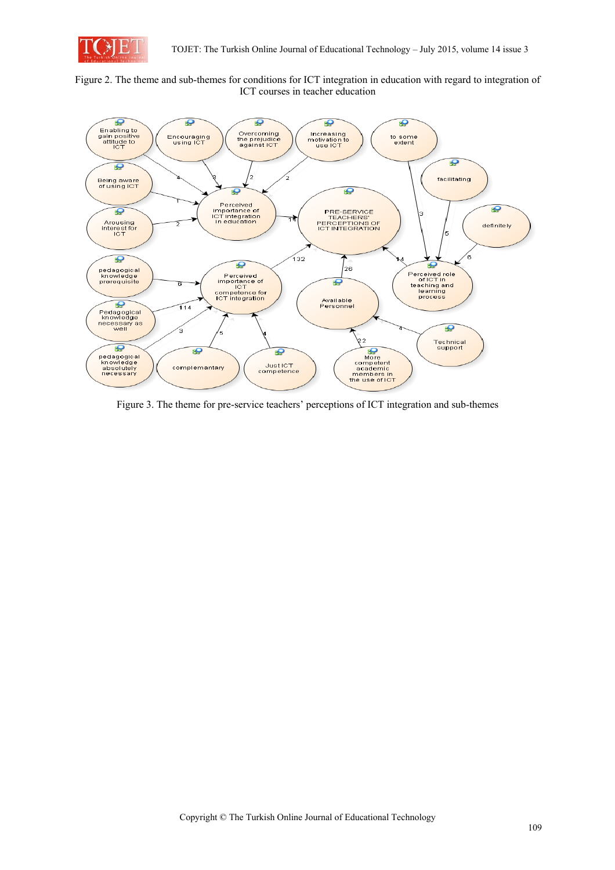

Figure 2. The theme and sub-themes for conditions for ICT integration in education with regard to integration of ICT courses in teacher education



Figure 3. The theme for pre-service teachers' perceptions of ICT integration and sub-themes